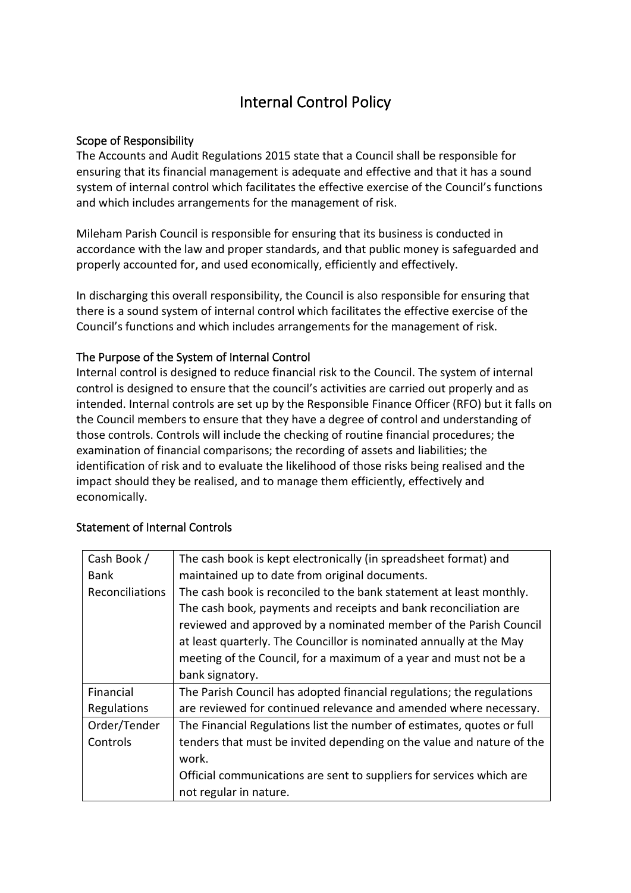## Internal Control Policy

## Scope of Responsibility

The Accounts and Audit Regulations 2015 state that a Council shall be responsible for ensuring that its financial management is adequate and effective and that it has a sound system of internal control which facilitates the effective exercise of the Council's functions and which includes arrangements for the management of risk.

Mileham Parish Council is responsible for ensuring that its business is conducted in accordance with the law and proper standards, and that public money is safeguarded and properly accounted for, and used economically, efficiently and effectively.

In discharging this overall responsibility, the Council is also responsible for ensuring that there is a sound system of internal control which facilitates the effective exercise of the Council's functions and which includes arrangements for the management of risk.

## The Purpose of the System of Internal Control

Internal control is designed to reduce financial risk to the Council. The system of internal control is designed to ensure that the council's activities are carried out properly and as intended. Internal controls are set up by the Responsible Finance Officer (RFO) but it falls on the Council members to ensure that they have a degree of control and understanding of those controls. Controls will include the checking of routine financial procedures; the examination of financial comparisons; the recording of assets and liabilities; the identification of risk and to evaluate the likelihood of those risks being realised and the impact should they be realised, and to manage them efficiently, effectively and economically.

| Cash Book /     | The cash book is kept electronically (in spreadsheet format) and       |
|-----------------|------------------------------------------------------------------------|
| <b>Bank</b>     | maintained up to date from original documents.                         |
| Reconciliations | The cash book is reconciled to the bank statement at least monthly.    |
|                 | The cash book, payments and receipts and bank reconciliation are       |
|                 | reviewed and approved by a nominated member of the Parish Council      |
|                 | at least quarterly. The Councillor is nominated annually at the May    |
|                 | meeting of the Council, for a maximum of a year and must not be a      |
|                 | bank signatory.                                                        |
| Financial       | The Parish Council has adopted financial regulations; the regulations  |
| Regulations     | are reviewed for continued relevance and amended where necessary.      |
| Order/Tender    | The Financial Regulations list the number of estimates, quotes or full |
| Controls        | tenders that must be invited depending on the value and nature of the  |
|                 | work.                                                                  |
|                 | Official communications are sent to suppliers for services which are   |
|                 | not regular in nature.                                                 |

## Statement of Internal Controls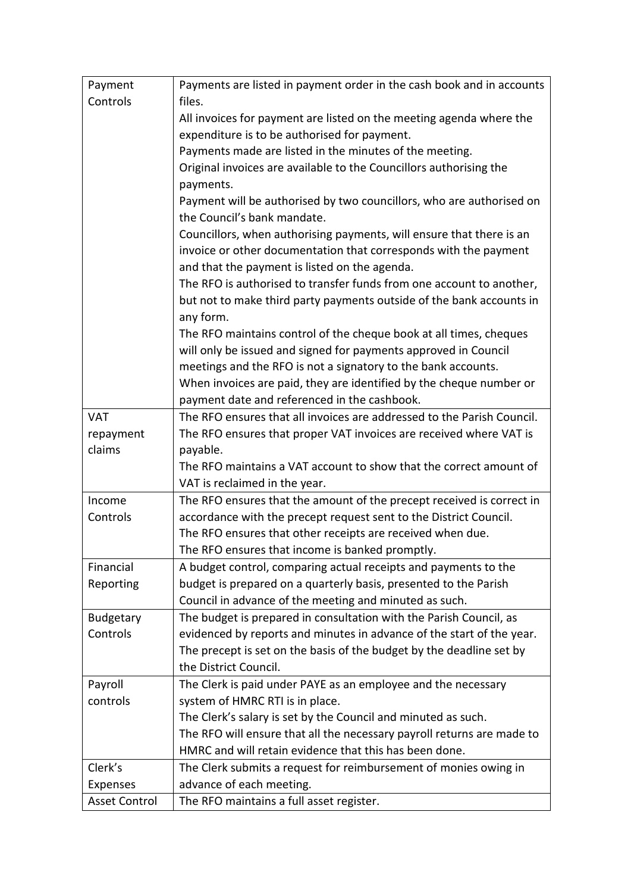| Payment              | Payments are listed in payment order in the cash book and in accounts                               |
|----------------------|-----------------------------------------------------------------------------------------------------|
| Controls             | files.                                                                                              |
|                      | All invoices for payment are listed on the meeting agenda where the                                 |
|                      | expenditure is to be authorised for payment.                                                        |
|                      | Payments made are listed in the minutes of the meeting.                                             |
|                      | Original invoices are available to the Councillors authorising the                                  |
|                      | payments.                                                                                           |
|                      | Payment will be authorised by two councillors, who are authorised on<br>the Council's bank mandate. |
|                      | Councillors, when authorising payments, will ensure that there is an                                |
|                      | invoice or other documentation that corresponds with the payment                                    |
|                      | and that the payment is listed on the agenda.                                                       |
|                      | The RFO is authorised to transfer funds from one account to another,                                |
|                      | but not to make third party payments outside of the bank accounts in                                |
|                      | any form.                                                                                           |
|                      | The RFO maintains control of the cheque book at all times, cheques                                  |
|                      | will only be issued and signed for payments approved in Council                                     |
|                      | meetings and the RFO is not a signatory to the bank accounts.                                       |
|                      | When invoices are paid, they are identified by the cheque number or                                 |
|                      | payment date and referenced in the cashbook.                                                        |
| VAT                  | The RFO ensures that all invoices are addressed to the Parish Council.                              |
| repayment            | The RFO ensures that proper VAT invoices are received where VAT is                                  |
| claims               | payable.                                                                                            |
|                      | The RFO maintains a VAT account to show that the correct amount of                                  |
|                      | VAT is reclaimed in the year.                                                                       |
| Income               | The RFO ensures that the amount of the precept received is correct in                               |
| Controls             | accordance with the precept request sent to the District Council.                                   |
|                      | The RFO ensures that other receipts are received when due.                                          |
|                      | The RFO ensures that income is banked promptly.                                                     |
| Financial            | A budget control, comparing actual receipts and payments to the                                     |
| Reporting            | budget is prepared on a quarterly basis, presented to the Parish                                    |
|                      | Council in advance of the meeting and minuted as such.                                              |
| <b>Budgetary</b>     | The budget is prepared in consultation with the Parish Council, as                                  |
| Controls             | evidenced by reports and minutes in advance of the start of the year.                               |
|                      | The precept is set on the basis of the budget by the deadline set by                                |
|                      | the District Council.                                                                               |
| Payroll              | The Clerk is paid under PAYE as an employee and the necessary                                       |
| controls             | system of HMRC RTI is in place.                                                                     |
|                      | The Clerk's salary is set by the Council and minuted as such.                                       |
|                      | The RFO will ensure that all the necessary payroll returns are made to                              |
|                      | HMRC and will retain evidence that this has been done.                                              |
| Clerk's              | The Clerk submits a request for reimbursement of monies owing in                                    |
| Expenses             | advance of each meeting.                                                                            |
| <b>Asset Control</b> | The RFO maintains a full asset register.                                                            |